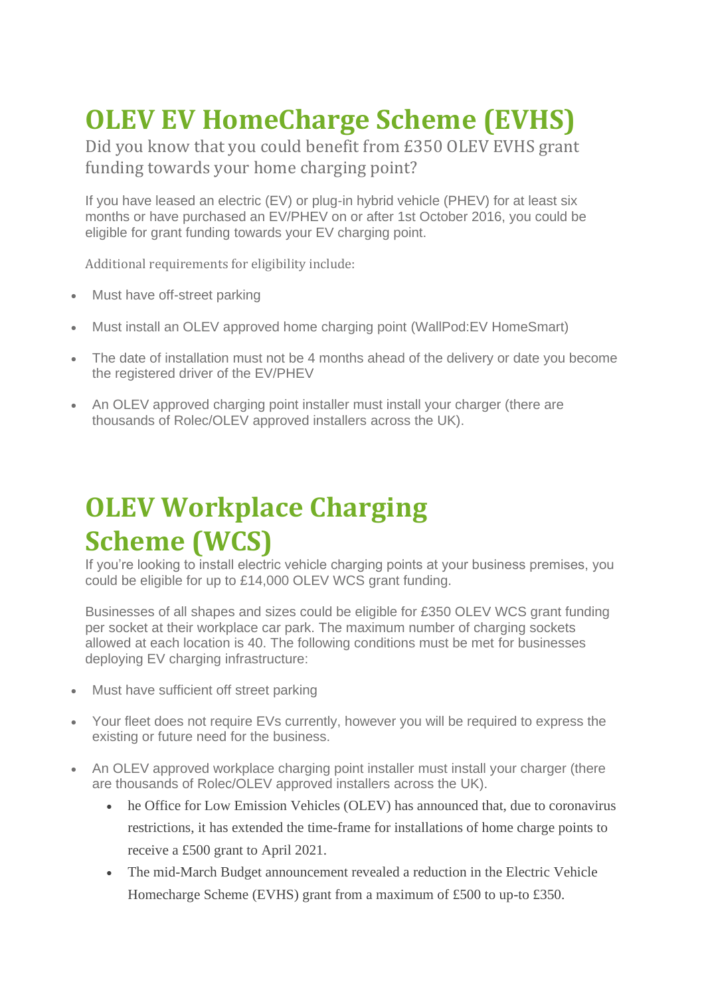## **OLEV EV HomeCharge Scheme (EVHS)**

Did you know that you could benefit from £350 OLEV EVHS grant funding towards your home charging point?

If you have leased an electric (EV) or plug-in hybrid vehicle (PHEV) for at least six months or have purchased an EV/PHEV on or after 1st October 2016, you could be eligible for grant funding towards your EV charging point.

Additional requirements for eligibility include:

- Must have off-street parking
- Must install an OLEV approved home charging point (WallPod:EV HomeSmart)
- The date of installation must not be 4 months ahead of the delivery or date you become the registered driver of the EV/PHEV
- An OLEV approved charging point installer must install your charger (there are thousands of Rolec/OLEV approved installers across the UK).

## **OLEV Workplace Charging Scheme (WCS)**

If you're looking to install electric vehicle charging points at your business premises, you could be eligible for up to £14,000 OLEV WCS grant funding.

Businesses of all shapes and sizes could be eligible for £350 OLEV WCS grant funding per socket at their workplace car park. The maximum number of charging sockets allowed at each location is 40. The following conditions must be met for businesses deploying EV charging infrastructure:

- Must have sufficient off street parking
- Your fleet does not require EVs currently, however you will be required to express the existing or future need for the business.
- An OLEV approved workplace charging point installer must install your charger (there are thousands of Rolec/OLEV approved installers across the UK).
	- he Office for Low Emission Vehicles (OLEV) has announced that, due to coronavirus restrictions, it has extended the time-frame for installations of home charge points to receive a £500 grant to April 2021.
	- The mid-March Budget announcement revealed a reduction in the Electric Vehicle Homecharge Scheme (EVHS) grant from a maximum of £500 to up-to £350.